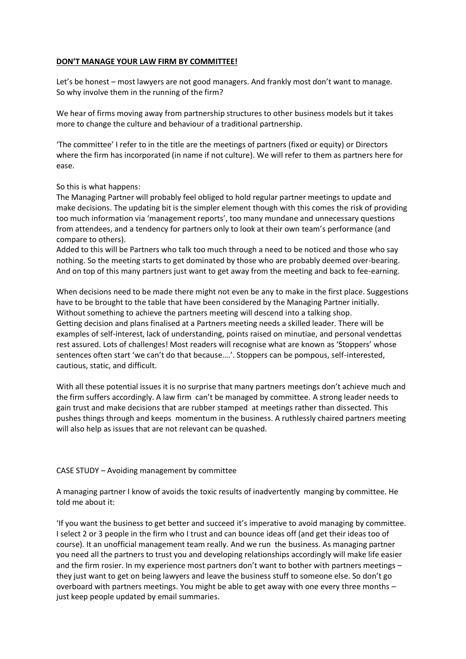## **DON'T MANAGE YOUR LAW FIRM BY COMMITTEE!**

Let's be honest – most lawyers are not good managers. And frankly most don't want to manage. So why involve them in the running of the firm?

We hear of firms moving away from partnership structures to other business models but it takes more to change the culture and behaviour of a traditional partnership.

'The committee' I refer to in the title are the meetings of partners (fixed or equity) or Directors where the firm has incorporated (in name if not culture). We will refer to them as partners here for ease.

## So this is what happens:

The Managing Partner will probably feel obliged to hold regular partner meetings to update and make decisions. The updating bit is the simpler element though with this comes the risk of providing too much information via 'management reports', too many mundane and unnecessary questions from attendees, and a tendency for partners only to look at their own team's performance (and compare to others).

Added to this will be Partners who talk too much through a need to be noticed and those who say nothing. So the meeting starts to get dominated by those who are probably deemed over-bearing. And on top of this many partners just want to get away from the meeting and back to fee-earning.

When decisions need to be made there might not even be any to make in the first place. Suggestions have to be brought to the table that have been considered by the Managing Partner initially. Without something to achieve the partners meeting will descend into a talking shop. Getting decision and plans finalised at a Partners meeting needs a skilled leader. There will be examples of self-interest, lack of understanding, points raised on minutiae, and personal vendettas rest assured. Lots of challenges! Most readers will recognise what are known as 'Stoppers' whose sentences often start 'we can't do that because….'. Stoppers can be pompous, self-interested, cautious, static, and difficult.

With all these potential issues it is no surprise that many partners meetings don't achieve much and the firm suffers accordingly. A law firm can't be managed by committee. A strong leader needs to gain trust and make decisions that are rubber stamped at meetings rather than dissected. This pushes things through and keeps momentum in the business. A ruthlessly chaired partners meeting will also help as issues that are not relevant can be quashed.

## CASE STUDY – Avoiding management by committee

A managing partner I know of avoids the toxic results of inadvertently manging by committee. He told me about it:

'If you want the business to get better and succeed it's imperative to avoid managing by committee. I select 2 or 3 people in the firm who I trust and can bounce ideas off (and get their ideas too of course). It an unofficial management team really. And we run the business. As managing partner you need all the partners to trust you and developing relationships accordingly will make life easier and the firm rosier. In my experience most partners don't want to bother with partners meetings – they just want to get on being lawyers and leave the business stuff to someone else. So don't go overboard with partners meetings. You might be able to get away with one every three months – just keep people updated by email summaries.